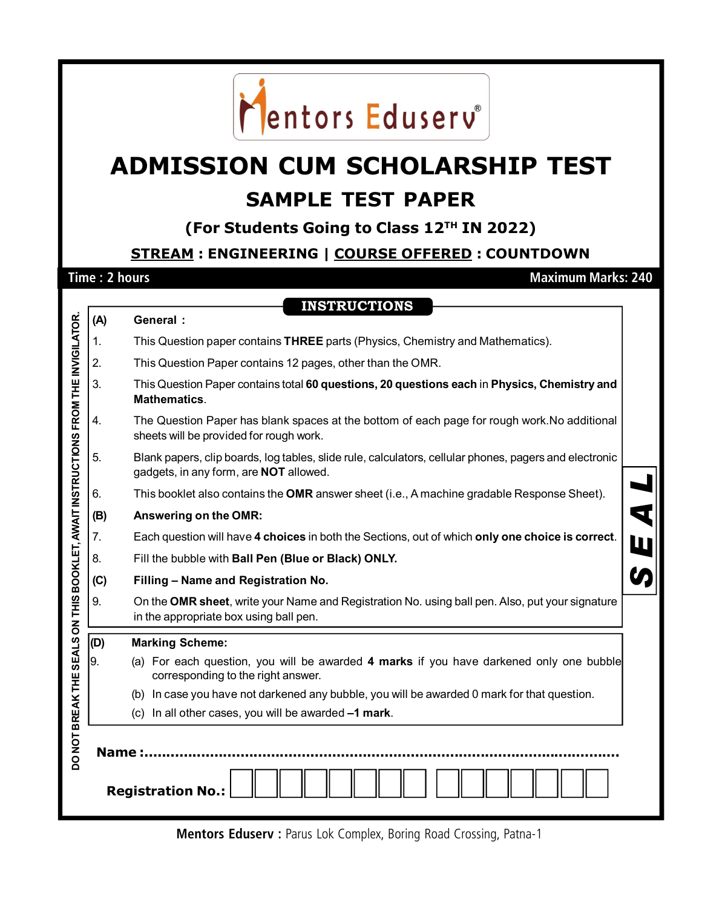

## **ADMISSION CUM SCHOLARSHIP TEST SAMPLE TEST PAPER**

**(For Students Going to Class 12TH IN 2022)**

**STREAM : ENGINEERING | COURSE OFFERED : COUNTDOWN**

**Time : 2 hours Maximum Marks: 240** 

|                                                                                                                             |     | <b>INSTRUCTIONS</b>                                                                                                                              |  |  |  |  |  |
|-----------------------------------------------------------------------------------------------------------------------------|-----|--------------------------------------------------------------------------------------------------------------------------------------------------|--|--|--|--|--|
|                                                                                                                             | (A) | <b>General:</b>                                                                                                                                  |  |  |  |  |  |
|                                                                                                                             | 1.  | This Question paper contains THREE parts (Physics, Chemistry and Mathematics).                                                                   |  |  |  |  |  |
|                                                                                                                             | 2.  | This Question Paper contains 12 pages, other than the OMR.                                                                                       |  |  |  |  |  |
|                                                                                                                             | 3.  | This Question Paper contains total 60 questions, 20 questions each in Physics, Chemistry and<br><b>Mathematics.</b>                              |  |  |  |  |  |
|                                                                                                                             | 4.  | The Question Paper has blank spaces at the bottom of each page for rough work. No additional<br>sheets will be provided for rough work.          |  |  |  |  |  |
|                                                                                                                             | 5.  | Blank papers, clip boards, log tables, slide rule, calculators, cellular phones, pagers and electronic<br>gadgets, in any form, are NOT allowed. |  |  |  |  |  |
|                                                                                                                             | 6.  | This booklet also contains the OMR answer sheet (i.e., A machine gradable Response Sheet).                                                       |  |  |  |  |  |
|                                                                                                                             | (B) | Answering on the OMR:                                                                                                                            |  |  |  |  |  |
|                                                                                                                             | 7.  | Each question will have 4 choices in both the Sections, out of which only one choice is correct.                                                 |  |  |  |  |  |
|                                                                                                                             | 8.  | Fill the bubble with Ball Pen (Blue or Black) ONLY.                                                                                              |  |  |  |  |  |
|                                                                                                                             | (C) | Filling - Name and Registration No.                                                                                                              |  |  |  |  |  |
|                                                                                                                             | 9.  | On the OMR sheet, write your Name and Registration No. using ball pen. Also, put your signature<br>in the appropriate box using ball pen.        |  |  |  |  |  |
|                                                                                                                             | (D) | <b>Marking Scheme:</b>                                                                                                                           |  |  |  |  |  |
|                                                                                                                             | 9.  | (a) For each question, you will be awarded 4 marks if you have darkened only one bubble<br>corresponding to the right answer.                    |  |  |  |  |  |
|                                                                                                                             |     | In case you have not darkened any bubble, you will be awarded 0 mark for that question.<br>(b)                                                   |  |  |  |  |  |
|                                                                                                                             |     | (c) In all other cases, you will be awarded -1 mark.                                                                                             |  |  |  |  |  |
| DO NOT BREAK THE SEALS ON THIS BOOKLET, AWAIT INSTRUCTIONS FROM THE INVIGILATOR<br><b>Name:</b><br><b>Registration No.:</b> |     |                                                                                                                                                  |  |  |  |  |  |

**Mentors Eduserv : Parus Lok Complex, Boring Road Crossing, Patna-1**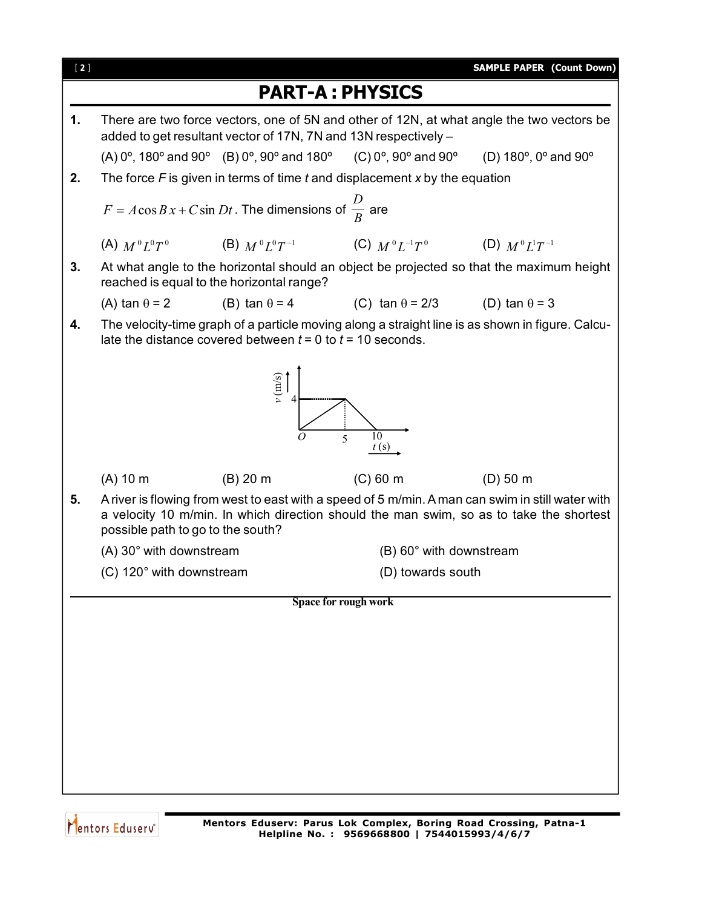

Mentors Eduserv<sup>®</sup>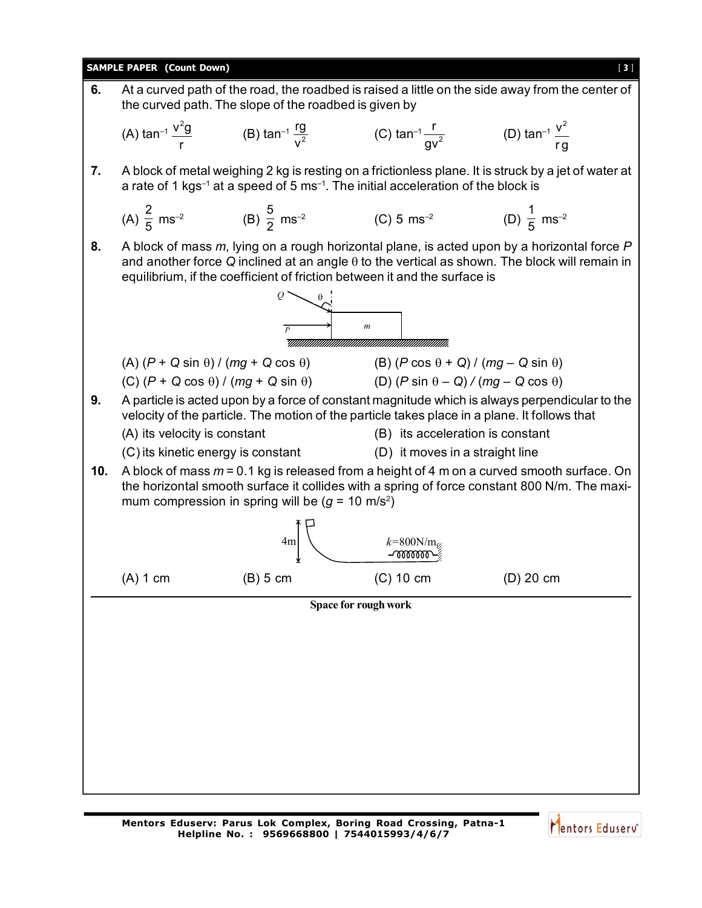

Mentors Eduserv<sup>®</sup>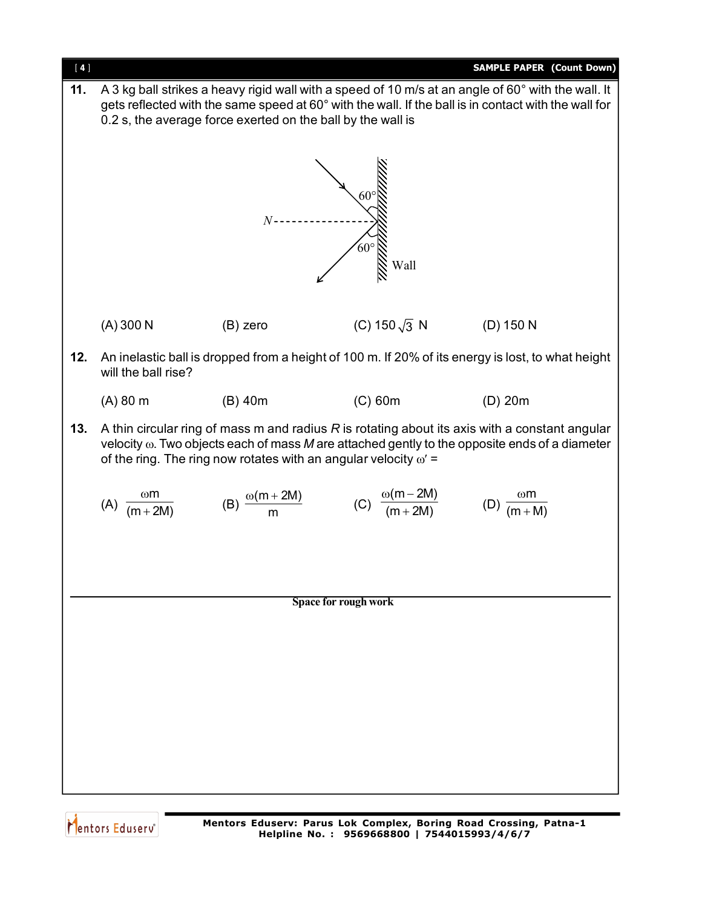

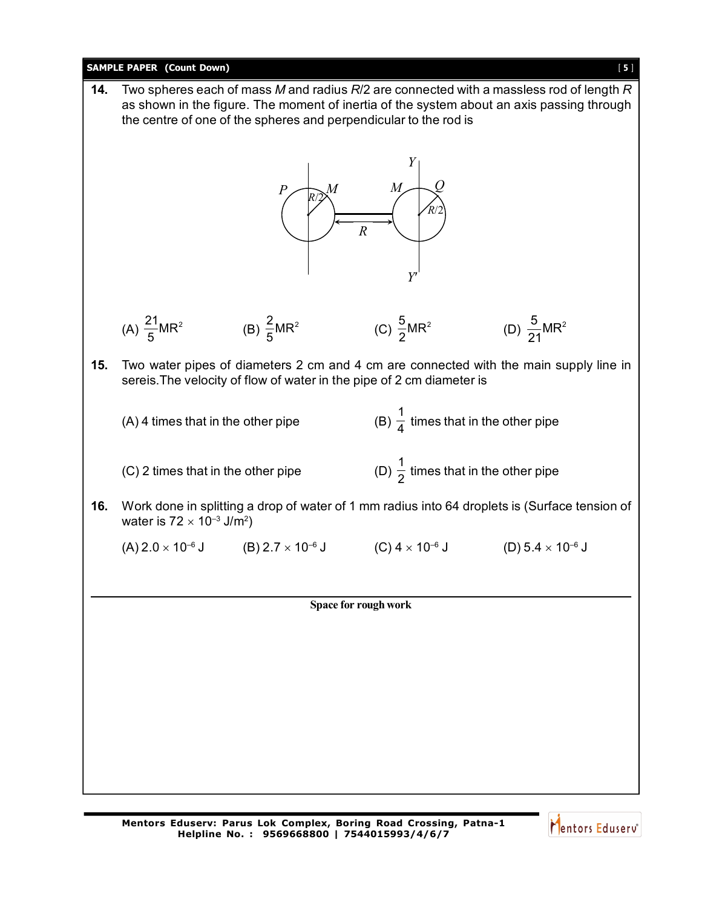## **SAMPLE PAPER (Count Down)** [ **5** ] **Space for rough work 14.** Two spheres each of mass *M* and radius *R*/2 are connected with a massless rod of length *R* as shown in the figure. The moment of inertia of the system about an axis passing through the centre of one of the spheres and perpendicular to the rod is *R*/2 *R*/2  $P \left( \bigcup_{p \in \mathbb{N}} M \right)$  *M*  $\left( \bigcup_{p \in \mathbb{N}} M \right)$ *Y Y R* (A)  $\frac{21}{5}$ MR<sup>2</sup>  $\frac{21}{5}MR^2$  (B)  $\frac{2}{5}MR^2$ 5 (C)  $\frac{5}{2}MR^2$ 2 (D)  $\frac{5}{24}MR^2$ 21 **15.** Two water pipes of diameters 2 cm and 4 cm are connected with the main supply line in sereis.The velocity of flow of water in the pipe of 2 cm diameter is  $(A)$  4 times that in the other pipe 1  $\frac{1}{4}$  times that in the other pipe  $(C)$  2 times that in the other pipe 1  $\frac{1}{2}$  times that in the other pipe **16.** Work done in splitting a drop of water of 1 mm radius into 64 droplets is (Surface tension of water is 72  $\times$  10<sup>–3</sup> J/m<sup>2</sup>)  $(A) 2.0 \times 10^{-6}$  J  $(B) 2.7 \times 10^{-6}$  J  $(C) 4 \times 10^{-6}$  J  $(D) 5.4 \times 10^{-6}$  J

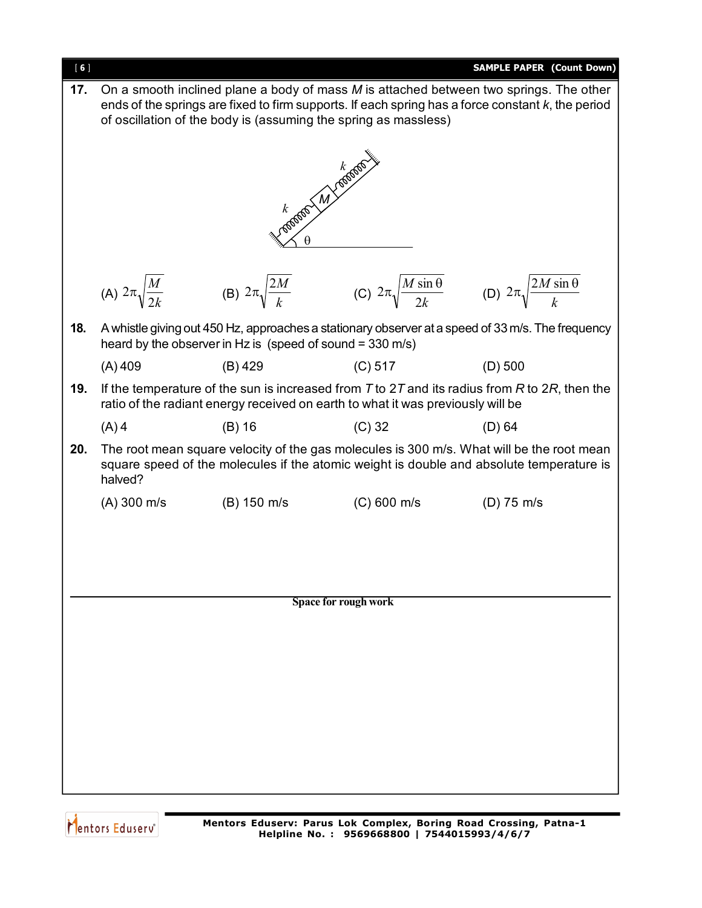

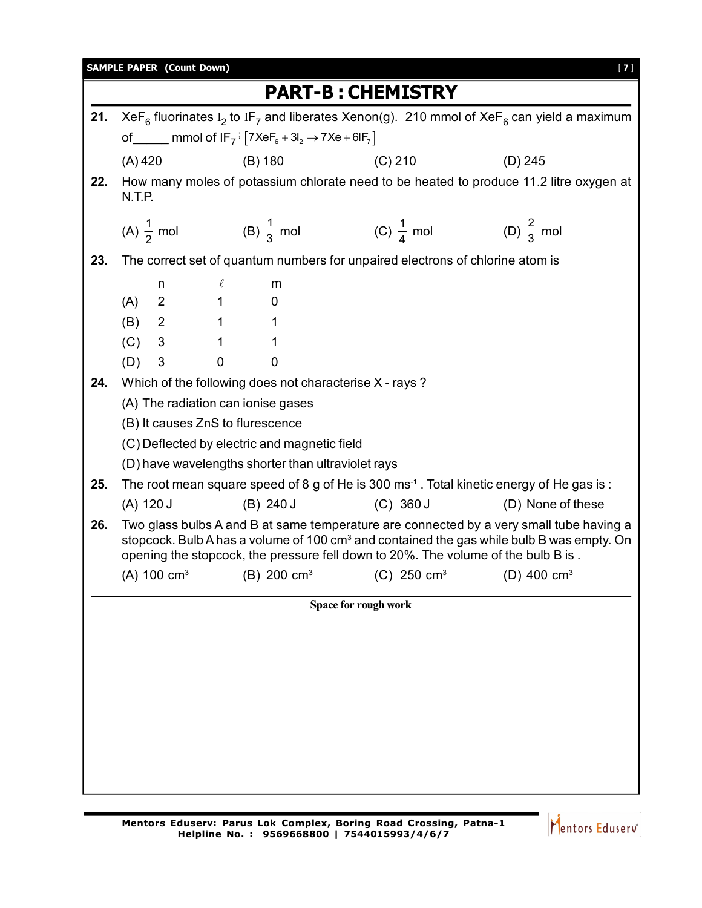|                          | <b>SAMPLE PAPER (Count Down)</b><br>$[7]$                                                                                                                                                                                                                                             |                  |                        |                                                                                         |  |             |                                                                                                 |  |
|--------------------------|---------------------------------------------------------------------------------------------------------------------------------------------------------------------------------------------------------------------------------------------------------------------------------------|------------------|------------------------|-----------------------------------------------------------------------------------------|--|-------------|-------------------------------------------------------------------------------------------------|--|
| <b>PART-B: CHEMISTRY</b> |                                                                                                                                                                                                                                                                                       |                  |                        |                                                                                         |  |             |                                                                                                 |  |
| 21.                      | XeF <sub>6</sub> fluorinates I <sub>2</sub> to IF <sub>7</sub> and liberates Xenon(g). 210 mmol of XeF <sub>6</sub> can yield a maximum                                                                                                                                               |                  |                        |                                                                                         |  |             |                                                                                                 |  |
|                          | of _____ mmol of $IF_7$ <sup>:</sup> $[7XeF_6 + 3I_2 \rightarrow 7Xe + 6IF_7]$                                                                                                                                                                                                        |                  |                        |                                                                                         |  |             |                                                                                                 |  |
|                          | $(A)$ 420                                                                                                                                                                                                                                                                             |                  |                        | $(B)$ 180                                                                               |  | $(C)$ 210   | $(D)$ 245                                                                                       |  |
| 22.                      | N.T.P.                                                                                                                                                                                                                                                                                |                  |                        |                                                                                         |  |             | How many moles of potassium chlorate need to be heated to produce 11.2 litre oxygen at          |  |
|                          |                                                                                                                                                                                                                                                                                       |                  |                        | (A) $\frac{1}{2}$ mol (B) $\frac{1}{3}$ mol (C) $\frac{1}{4}$ mol (D) $\frac{2}{3}$ mol |  |             |                                                                                                 |  |
| 23.                      |                                                                                                                                                                                                                                                                                       |                  |                        | The correct set of quantum numbers for unpaired electrons of chlorine atom is           |  |             |                                                                                                 |  |
|                          |                                                                                                                                                                                                                                                                                       | n                | $\ell$                 | m                                                                                       |  |             |                                                                                                 |  |
|                          |                                                                                                                                                                                                                                                                                       |                  | $1 \quad \blacksquare$ | 0                                                                                       |  |             |                                                                                                 |  |
|                          |                                                                                                                                                                                                                                                                                       | $(A)$ 2<br>(B) 2 | $1 \quad \Box$         | 1                                                                                       |  |             |                                                                                                 |  |
|                          |                                                                                                                                                                                                                                                                                       | $(C)$ 3          | $\mathbf{1}$           | 1                                                                                       |  |             |                                                                                                 |  |
|                          | (D)                                                                                                                                                                                                                                                                                   | 3                | $\mathbf 0$            | 0                                                                                       |  |             |                                                                                                 |  |
| 24.                      |                                                                                                                                                                                                                                                                                       |                  |                        | Which of the following does not characterise X - rays?                                  |  |             |                                                                                                 |  |
|                          | (A) The radiation can ionise gases                                                                                                                                                                                                                                                    |                  |                        |                                                                                         |  |             |                                                                                                 |  |
|                          | (B) It causes ZnS to flurescence                                                                                                                                                                                                                                                      |                  |                        |                                                                                         |  |             |                                                                                                 |  |
|                          | (C) Deflected by electric and magnetic field                                                                                                                                                                                                                                          |                  |                        |                                                                                         |  |             |                                                                                                 |  |
|                          |                                                                                                                                                                                                                                                                                       |                  |                        | (D) have wavelengths shorter than ultraviolet rays                                      |  |             |                                                                                                 |  |
| 25.                      | The root mean square speed of 8 g of He is 300 ms <sup>-1</sup> . Total kinetic energy of He gas is:                                                                                                                                                                                  |                  |                        |                                                                                         |  |             |                                                                                                 |  |
|                          |                                                                                                                                                                                                                                                                                       | (A) 120 J        |                        | (B) 240 J                                                                               |  | $(C)$ 360 J | (D) None of these                                                                               |  |
| 26.                      | Two glass bulbs A and B at same temperature are connected by a very small tube having a<br>stopcock. Bulb A has a volume of 100 cm <sup>3</sup> and contained the gas while bulb B was empty. On<br>opening the stopcock, the pressure fell down to 20%. The volume of the bulb B is. |                  |                        |                                                                                         |  |             |                                                                                                 |  |
|                          |                                                                                                                                                                                                                                                                                       |                  |                        |                                                                                         |  |             | (A) 100 cm <sup>3</sup> (B) 200 cm <sup>3</sup> (C) 250 cm <sup>3</sup> (D) 400 cm <sup>3</sup> |  |
|                          | Space for rough work                                                                                                                                                                                                                                                                  |                  |                        |                                                                                         |  |             |                                                                                                 |  |
|                          |                                                                                                                                                                                                                                                                                       |                  |                        |                                                                                         |  |             |                                                                                                 |  |
|                          |                                                                                                                                                                                                                                                                                       |                  |                        |                                                                                         |  |             |                                                                                                 |  |
|                          |                                                                                                                                                                                                                                                                                       |                  |                        |                                                                                         |  |             |                                                                                                 |  |
|                          |                                                                                                                                                                                                                                                                                       |                  |                        |                                                                                         |  |             |                                                                                                 |  |
|                          |                                                                                                                                                                                                                                                                                       |                  |                        |                                                                                         |  |             |                                                                                                 |  |
|                          |                                                                                                                                                                                                                                                                                       |                  |                        |                                                                                         |  |             |                                                                                                 |  |
|                          |                                                                                                                                                                                                                                                                                       |                  |                        |                                                                                         |  |             |                                                                                                 |  |
|                          |                                                                                                                                                                                                                                                                                       |                  |                        |                                                                                         |  |             |                                                                                                 |  |
|                          |                                                                                                                                                                                                                                                                                       |                  |                        |                                                                                         |  |             |                                                                                                 |  |

Mentors Eduserv<sup>®</sup>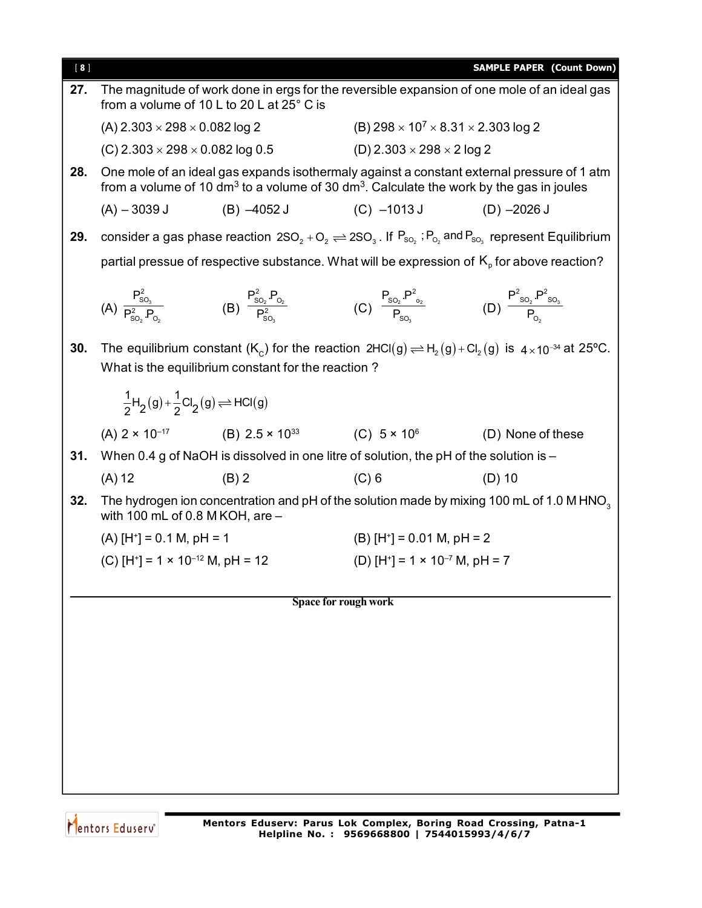| [8] |                                                                  |                                                                                                                                                                                                                                                                   |                                          | <b>SAMPLE PAPER (Count Down)</b>                                                                                                                                                                              |  |  |
|-----|------------------------------------------------------------------|-------------------------------------------------------------------------------------------------------------------------------------------------------------------------------------------------------------------------------------------------------------------|------------------------------------------|---------------------------------------------------------------------------------------------------------------------------------------------------------------------------------------------------------------|--|--|
| 27. |                                                                  | from a volume of 10 L to 20 L at 25° C is                                                                                                                                                                                                                         |                                          | The magnitude of work done in ergs for the reversible expansion of one mole of an ideal gas                                                                                                                   |  |  |
|     |                                                                  | (B) $298 \times 10^7 \times 8.31 \times 2.303 \log 2$<br>(A) $2.303 \times 298 \times 0.082$ log 2                                                                                                                                                                |                                          |                                                                                                                                                                                                               |  |  |
|     | (C) 2.303 $\times$ 298 $\times$ 0.082 log 0.5                    |                                                                                                                                                                                                                                                                   | (D) 2.303 $\times$ 298 $\times$ 2 log 2  |                                                                                                                                                                                                               |  |  |
| 28. |                                                                  |                                                                                                                                                                                                                                                                   |                                          | One mole of an ideal gas expands isothermaly against a constant external pressure of 1 atm<br>from a volume of 10 dm <sup>3</sup> to a volume of 30 dm <sup>3</sup> . Calculate the work by the gas in joules |  |  |
|     | $(A) - 3039 J$                                                   | $(B) -4052 J$                                                                                                                                                                                                                                                     | $(C)$ -1013 J $(D)$ -2026 J              |                                                                                                                                                                                                               |  |  |
| 29. |                                                                  |                                                                                                                                                                                                                                                                   |                                          | consider a gas phase reaction $2SO_2 + O_2 \rightleftharpoons 2SO_3$ . If $P_{SO_2}$ ; $P_{O_2}$ and $P_{SO_3}$ represent Equilibrium                                                                         |  |  |
|     |                                                                  |                                                                                                                                                                                                                                                                   |                                          | partial pressue of respective substance. What will be expression of $K_{p}$ for above reaction?                                                                                                               |  |  |
|     |                                                                  | (A) $\frac{P_{\text{SO}_3}^2}{P_{\text{SO}_2}^2 P_{\text{O}_2}}$ (B) $\frac{P_{\text{SO}_2}^2 P_{\text{O}_2}}{P_{\text{SO}_2}^2}$ (C) $\frac{P_{\text{SO}_2} P_{\text{O}_2}^2}{P_{\text{SO}_2}}$ (D) $\frac{P_{\text{SO}_2}^2 P_{\text{SO}_3}^2}{P_{\text{O}_2}}$ |                                          |                                                                                                                                                                                                               |  |  |
| 30. |                                                                  | What is the equilibrium constant for the reaction?                                                                                                                                                                                                                |                                          | The equilibrium constant (K <sub>c</sub> ) for the reaction $2HC(g) \rightleftharpoons H_2(g) + Cl_2(g)$ is $4 \times 10^{-34}$ at 25°C.                                                                      |  |  |
|     | $\frac{1}{2}H_2(g)+\frac{1}{2}Cl_2(g) \rightleftharpoons HCl(g)$ |                                                                                                                                                                                                                                                                   |                                          |                                                                                                                                                                                                               |  |  |
|     |                                                                  |                                                                                                                                                                                                                                                                   |                                          | (A) $2 \times 10^{-17}$ (B) $2.5 \times 10^{33}$ (C) $5 \times 10^{6}$ (D) None of these                                                                                                                      |  |  |
| 31. |                                                                  | When 0.4 g of NaOH is dissolved in one litre of solution, the pH of the solution is -                                                                                                                                                                             |                                          |                                                                                                                                                                                                               |  |  |
|     | $(A)$ 12                                                         | $(B)$ 2                                                                                                                                                                                                                                                           | $(C)$ 6                                  | $(D)$ 10                                                                                                                                                                                                      |  |  |
| 32. | with 100 mL of 0.8 M KOH, are $-$                                |                                                                                                                                                                                                                                                                   |                                          | The hydrogen ion concentration and pH of the solution made by mixing 100 mL of 1.0 M HNO <sub>3</sub>                                                                                                         |  |  |
|     | $(A)$ [H <sup>+</sup> ] = 0.1 M, pH = 1                          |                                                                                                                                                                                                                                                                   |                                          | $(B)$ [H <sup>+</sup> ] = 0.01 M, pH = 2                                                                                                                                                                      |  |  |
|     | (C) $[H^+] = 1 \times 10^{-12}$ M, pH = 12                       |                                                                                                                                                                                                                                                                   | (D) $[H^+] = 1 \times 10^{-7}$ M, pH = 7 |                                                                                                                                                                                                               |  |  |
|     |                                                                  |                                                                                                                                                                                                                                                                   |                                          |                                                                                                                                                                                                               |  |  |
|     | Space for rough work                                             |                                                                                                                                                                                                                                                                   |                                          |                                                                                                                                                                                                               |  |  |
|     |                                                                  |                                                                                                                                                                                                                                                                   |                                          |                                                                                                                                                                                                               |  |  |
|     |                                                                  |                                                                                                                                                                                                                                                                   |                                          |                                                                                                                                                                                                               |  |  |
|     |                                                                  |                                                                                                                                                                                                                                                                   |                                          |                                                                                                                                                                                                               |  |  |
|     |                                                                  |                                                                                                                                                                                                                                                                   |                                          |                                                                                                                                                                                                               |  |  |
|     |                                                                  |                                                                                                                                                                                                                                                                   |                                          |                                                                                                                                                                                                               |  |  |
|     |                                                                  |                                                                                                                                                                                                                                                                   |                                          |                                                                                                                                                                                                               |  |  |

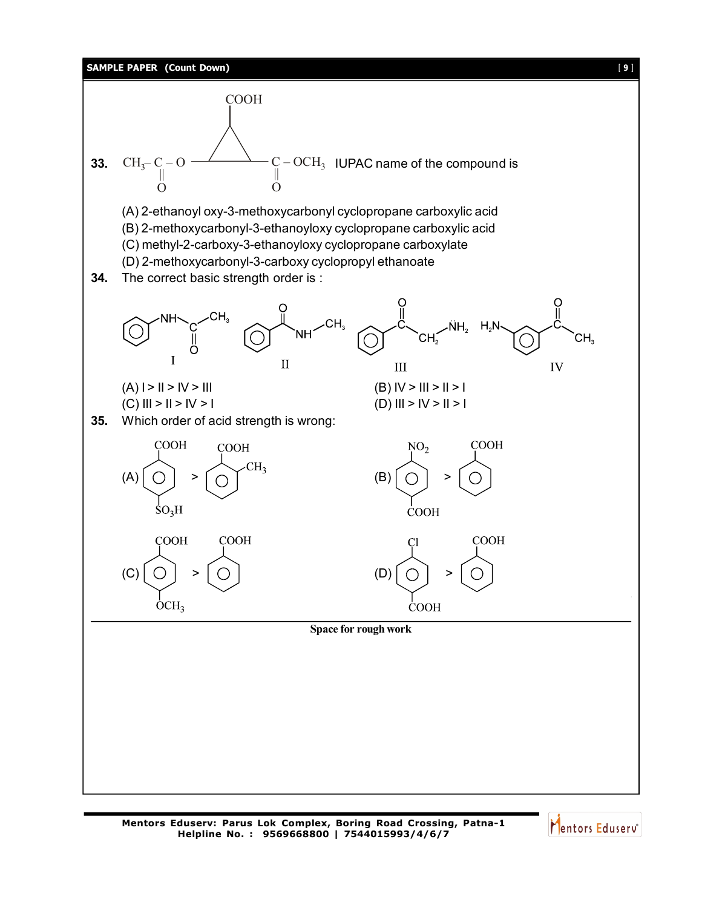

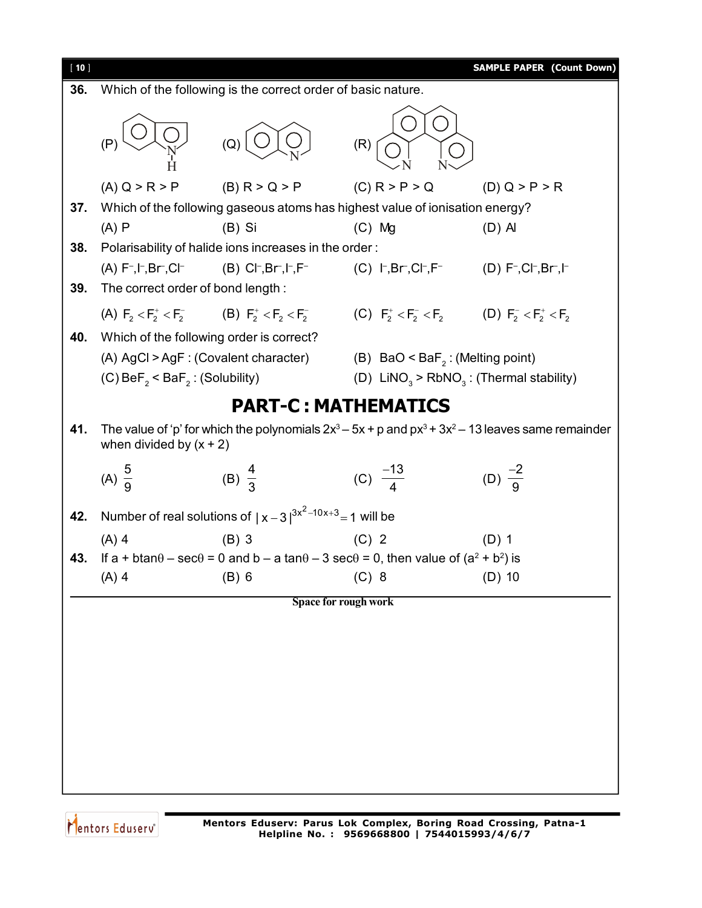

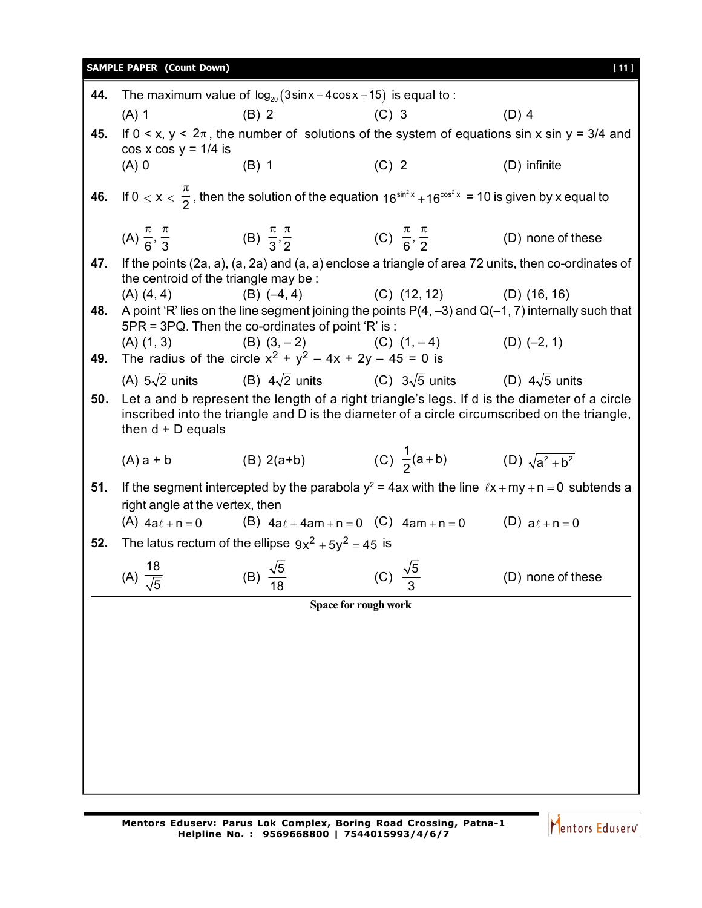## **SAMPLE PAPER (Count Down)** [ **11** ]

| 44. |                                                                                                    | The maximum value of $log_{20}(3\sin x - 4\cos x + 15)$ is equal to:                                                                                                                          |         |                                               |                   |
|-----|----------------------------------------------------------------------------------------------------|-----------------------------------------------------------------------------------------------------------------------------------------------------------------------------------------------|---------|-----------------------------------------------|-------------------|
|     | $(A)$ 1                                                                                            | $(B)$ 2                                                                                                                                                                                       | $(C)$ 3 |                                               | $(D)$ 4           |
| 45. | If $0 < x$ , $y < 2\pi$ , the number of solutions of the system of equations sin x sin y = 3/4 and |                                                                                                                                                                                               |         |                                               |                   |
|     | $cos x cos y = 1/4$ is<br>$(A)$ 0                                                                  | $(B)$ 1                                                                                                                                                                                       | $(C)$ 2 |                                               | $(D)$ infinite    |
|     |                                                                                                    |                                                                                                                                                                                               |         |                                               |                   |
|     |                                                                                                    | 46. If $0 \le x \le \frac{\pi}{2}$ , then the solution of the equation $16^{\sin^2 x} + 16^{\cos^2 x} = 10$ is given by x equal to                                                            |         |                                               |                   |
|     |                                                                                                    | (A) $\frac{\pi}{6}, \frac{\pi}{3}$ (B) $\frac{\pi}{3}, \frac{\pi}{2}$ (C) $\frac{\pi}{6}, \frac{\pi}{2}$ (D) none of these                                                                    |         |                                               |                   |
| 47. | the centroid of the triangle may be :                                                              | If the points (2a, a), (a, 2a) and (a, a) enclose a triangle of area 72 units, then co-ordinates of                                                                                           |         |                                               |                   |
|     | (A) (4, 4)                                                                                         | $(B)$ $(-4, 4)$                                                                                                                                                                               |         | $(C)$ $(12, 12)$ $(D)$ $(16, 16)$             |                   |
| 48. |                                                                                                    | A point 'R' lies on the line segment joining the points $P(4, -3)$ and $Q(-1, 7)$ internally such that<br>5PR = 3PQ. Then the co-ordinates of point 'R' is:                                   |         |                                               |                   |
|     |                                                                                                    | (A) $(1, 3)$ (B) $(3, -2)$ (C) $(1, -4)$ (D) $(-2, 1)$                                                                                                                                        |         |                                               |                   |
| 49. |                                                                                                    | The radius of the circle $x^2 + y^2 - 4x + 2y - 45 = 0$ is                                                                                                                                    |         |                                               |                   |
|     |                                                                                                    | (A) $5\sqrt{2}$ units (B) $4\sqrt{2}$ units (C) $3\sqrt{5}$ units (D) $4\sqrt{5}$ units                                                                                                       |         |                                               |                   |
| 50. | then $d + D$ equals                                                                                | Let a and b represent the length of a right triangle's legs. If d is the diameter of a circle<br>inscribed into the triangle and D is the diameter of a circle circumscribed on the triangle, |         |                                               |                   |
|     | $(A)$ a + b                                                                                        | $(B) 2(a+b)$                                                                                                                                                                                  |         | (C) $\frac{1}{2}(a+b)$ (D) $\sqrt{a^2 + b^2}$ |                   |
| 51. |                                                                                                    | If the segment intercepted by the parabola $y^2 = 4ax$ with the line $lx + my + n = 0$ subtends a                                                                                             |         |                                               |                   |
|     | right angle at the vertex, then                                                                    |                                                                                                                                                                                               |         |                                               |                   |
|     |                                                                                                    | (A) $4a\ell + n = 0$ (B) $4a\ell + 4am + n = 0$ (C) $4am + n = 0$ (D) $a\ell + n = 0$                                                                                                         |         |                                               |                   |
| 52. |                                                                                                    | The latus rectum of the ellipse $9x^2 + 5y^2 = 45$ is                                                                                                                                         |         |                                               |                   |
|     |                                                                                                    |                                                                                                                                                                                               |         |                                               |                   |
|     | (A) $\frac{18}{\sqrt{5}}$                                                                          | (B) $\frac{\sqrt{5}}{40}$                                                                                                                                                                     |         | (C) $\frac{\sqrt{5}}{3}$                      | (D) none of these |
|     |                                                                                                    | Space for rough work                                                                                                                                                                          |         |                                               |                   |
|     |                                                                                                    |                                                                                                                                                                                               |         |                                               |                   |
|     |                                                                                                    |                                                                                                                                                                                               |         |                                               |                   |
|     |                                                                                                    |                                                                                                                                                                                               |         |                                               |                   |
|     |                                                                                                    |                                                                                                                                                                                               |         |                                               |                   |
|     |                                                                                                    |                                                                                                                                                                                               |         |                                               |                   |
|     |                                                                                                    |                                                                                                                                                                                               |         |                                               |                   |
|     |                                                                                                    |                                                                                                                                                                                               |         |                                               |                   |
|     |                                                                                                    |                                                                                                                                                                                               |         |                                               |                   |

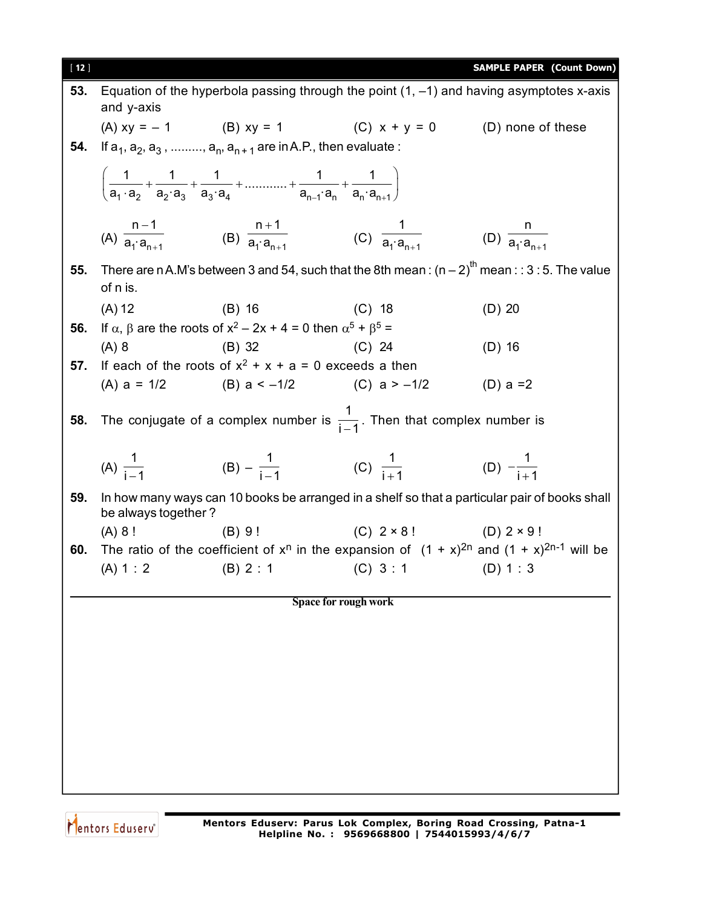| $[12]$ |                         |                                                                                                                                                        |                                                  | <b>SAMPLE PAPER (Count Down)</b>                                                                      |
|--------|-------------------------|--------------------------------------------------------------------------------------------------------------------------------------------------------|--------------------------------------------------|-------------------------------------------------------------------------------------------------------|
| 53.    | and y-axis              |                                                                                                                                                        |                                                  | Equation of the hyperbola passing through the point $(1, -1)$ and having asymptotes x-axis            |
|        |                         | (A) $xy = -1$ (B) $xy = 1$ (C) $x + y = 0$ (D) none of these                                                                                           |                                                  |                                                                                                       |
| 54.    |                         | If $a_1, a_2, a_3, \ldots, a_n, a_{n+1}$ are in A.P., then evaluate :                                                                                  |                                                  |                                                                                                       |
|        |                         | $\left(\frac{1}{a_1 \cdot a_2} + \frac{1}{a_2 \cdot a_3} + \frac{1}{a_3 \cdot a_4} + \dots + \frac{1}{a_n \cdot a_n} + \frac{1}{a_3 \cdot a_4}\right)$ |                                                  |                                                                                                       |
|        |                         | (A) $\frac{n-1}{a_1 \cdot a_{n+1}}$ (B) $\frac{n+1}{a_1 \cdot a_{n+1}}$ (C) $\frac{1}{a_1 \cdot a_{n+1}}$ (D) $\frac{n}{a_1 \cdot a_{n+1}}$            |                                                  |                                                                                                       |
| 55.    | of n is.                |                                                                                                                                                        |                                                  | There are n A.M's between 3 and 54, such that the 8th mean: $(n-2)^{th}$ mean:: 3:5. The value        |
|        | (A) 12                  | (B) 16 (C) 18                                                                                                                                          |                                                  | $(D)$ 20                                                                                              |
| 56.    |                         | If $\alpha$ , $\beta$ are the roots of $x^2 - 2x + 4 = 0$ then $\alpha^5 + \beta^5 =$                                                                  |                                                  |                                                                                                       |
|        | $(A)$ 8                 | $(C)$ 24<br>$(B)$ 32                                                                                                                                   |                                                  | $(D)$ 16                                                                                              |
| 57.    |                         | If each of the roots of $x^2 + x + a = 0$ exceeds a then                                                                                               |                                                  |                                                                                                       |
|        |                         | (A) $a = 1/2$ (B) $a < -1/2$ (C) $a > -1/2$ (D) $a = 2$                                                                                                |                                                  |                                                                                                       |
| 58.    |                         | The conjugate of a complex number is $\frac{1}{i-1}$ . Then that complex number is                                                                     |                                                  |                                                                                                       |
|        |                         | (A) $\frac{1}{i-1}$ (B) $-\frac{1}{i-1}$ (C) $\frac{1}{i+1}$ (D) $-\frac{1}{i+1}$                                                                      |                                                  |                                                                                                       |
| 59.    | be always together?     |                                                                                                                                                        |                                                  | In how many ways can 10 books be arranged in a shelf so that a particular pair of books shall         |
|        | (A) 8!                  |                                                                                                                                                        | (B) 9!<br>(C) $2 \times 8!$<br>(D) $2 \times 9!$ |                                                                                                       |
| 60.    |                         |                                                                                                                                                        |                                                  | The ratio of the coefficient of $x^n$ in the expansion of $(1 + x)^{2n}$ and $(1 + x)^{2n-1}$ will be |
|        | $(A) 1 : 2$ $(B) 2 : 1$ |                                                                                                                                                        | $(C) 3:1$ $(D) 1:3$                              |                                                                                                       |
|        |                         |                                                                                                                                                        | Space for rough work                             |                                                                                                       |
|        |                         |                                                                                                                                                        |                                                  |                                                                                                       |
|        |                         |                                                                                                                                                        |                                                  |                                                                                                       |
|        |                         |                                                                                                                                                        |                                                  |                                                                                                       |
|        |                         |                                                                                                                                                        |                                                  |                                                                                                       |
|        |                         |                                                                                                                                                        |                                                  |                                                                                                       |
|        |                         |                                                                                                                                                        |                                                  |                                                                                                       |
|        |                         |                                                                                                                                                        |                                                  |                                                                                                       |
|        |                         |                                                                                                                                                        |                                                  |                                                                                                       |
|        |                         |                                                                                                                                                        |                                                  |                                                                                                       |